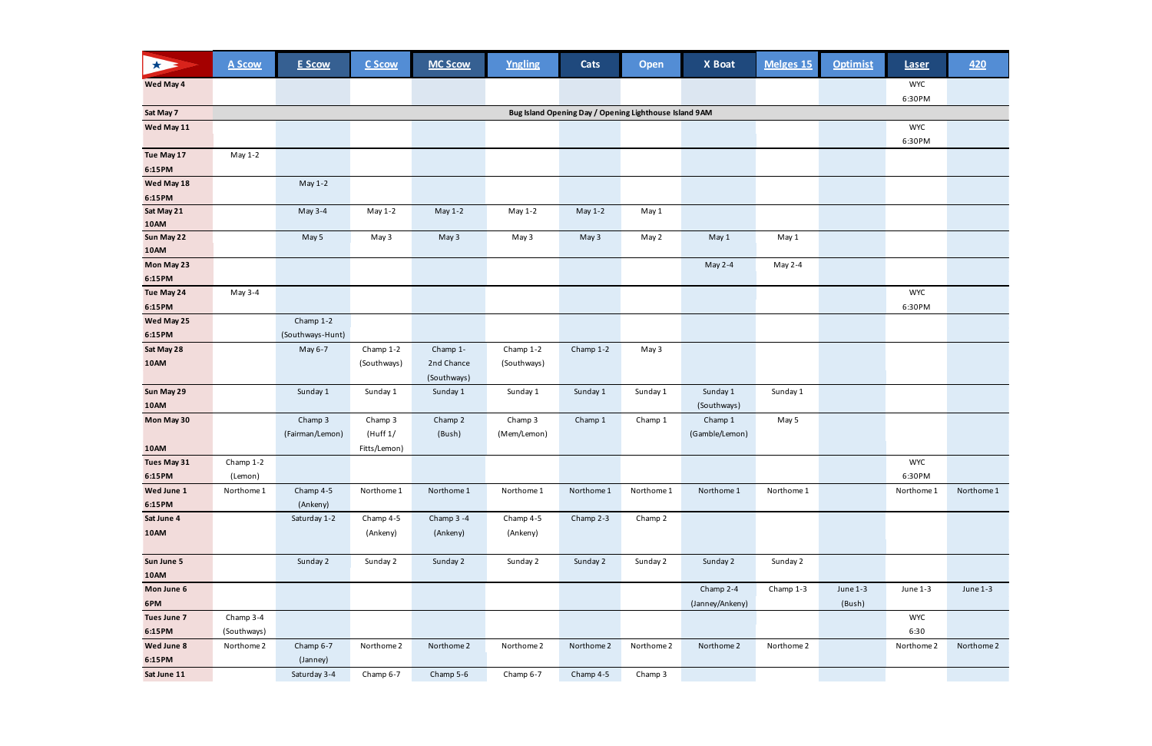| 大           | <b>A Scow</b> | <b>E Scow</b>    | C Scow       | <b>MC Scow</b> | <b>Yngling</b> | <b>Cats</b>                                            | <b>Open</b> | X Boat          | Melges 15  | <b>Optimist</b> | <b>Laser</b>         | 420        |
|-------------|---------------|------------------|--------------|----------------|----------------|--------------------------------------------------------|-------------|-----------------|------------|-----------------|----------------------|------------|
| Wed May 4   |               |                  |              |                |                |                                                        |             |                 |            |                 | <b>WYC</b>           |            |
|             |               |                  |              |                |                |                                                        |             |                 |            |                 | 6:30PM               |            |
| Sat May 7   |               |                  |              |                |                | Bug Island Opening Day / Opening Lighthouse Island 9AM |             |                 |            |                 |                      |            |
| Wed May 11  |               |                  |              |                |                |                                                        |             |                 |            |                 | <b>WYC</b><br>6:30PM |            |
| Tue May 17  | May 1-2       |                  |              |                |                |                                                        |             |                 |            |                 |                      |            |
| 6:15PM      |               |                  |              |                |                |                                                        |             |                 |            |                 |                      |            |
| Wed May 18  |               | May 1-2          |              |                |                |                                                        |             |                 |            |                 |                      |            |
| 6:15PM      |               |                  |              |                |                |                                                        |             |                 |            |                 |                      |            |
| Sat May 21  |               | May 3-4          | May 1-2      | May 1-2        | May 1-2        | May 1-2                                                | May 1       |                 |            |                 |                      |            |
| <b>10AM</b> |               |                  |              |                |                |                                                        |             |                 |            |                 |                      |            |
| Sun May 22  |               | May 5            | May 3        | May 3          | May 3          | May 3                                                  | May 2       | May 1           | May 1      |                 |                      |            |
| <b>10AM</b> |               |                  |              |                |                |                                                        |             |                 |            |                 |                      |            |
| Mon May 23  |               |                  |              |                |                |                                                        |             | May 2-4         | May 2-4    |                 |                      |            |
| 6:15PM      |               |                  |              |                |                |                                                        |             |                 |            |                 |                      |            |
| Tue May 24  | May 3-4       |                  |              |                |                |                                                        |             |                 |            |                 | <b>WYC</b>           |            |
| 6:15PM      |               |                  |              |                |                |                                                        |             |                 |            |                 | 6:30PM               |            |
| Wed May 25  |               | Champ 1-2        |              |                |                |                                                        |             |                 |            |                 |                      |            |
| 6:15PM      |               | (Southways-Hunt) |              |                |                |                                                        |             |                 |            |                 |                      |            |
| Sat May 28  |               | May 6-7          | Champ 1-2    | Champ 1-       | Champ 1-2      | Champ 1-2                                              | May 3       |                 |            |                 |                      |            |
| <b>10AM</b> |               |                  | (Southways)  | 2nd Chance     | (Southways)    |                                                        |             |                 |            |                 |                      |            |
|             |               |                  |              | (Southways)    |                |                                                        |             |                 |            |                 |                      |            |
| Sun May 29  |               | Sunday 1         | Sunday 1     | Sunday 1       | Sunday 1       | Sunday 1                                               | Sunday 1    | Sunday 1        | Sunday 1   |                 |                      |            |
| <b>10AM</b> |               |                  |              |                |                |                                                        |             | (Southways)     |            |                 |                      |            |
| Mon May 30  |               | Champ 3          | Champ 3      | Champ 2        | Champ 3        | Champ 1                                                | Champ 1     | Champ 1         | May 5      |                 |                      |            |
|             |               | (Fairman/Lemon)  | (Huff 1/     | (Bush)         | (Mem/Lemon)    |                                                        |             | (Gamble/Lemon)  |            |                 |                      |            |
| <b>10AM</b> |               |                  | Fitts/Lemon) |                |                |                                                        |             |                 |            |                 |                      |            |
| Tues May 31 | Champ 1-2     |                  |              |                |                |                                                        |             |                 |            |                 | <b>WYC</b>           |            |
| 6:15PM      | (Lemon)       |                  |              |                |                |                                                        |             |                 |            |                 | 6:30PM               |            |
| Wed June 1  | Northome 1    | Champ 4-5        | Northome 1   | Northome 1     | Northome 1     | Northome 1                                             | Northome 1  | Northome 1      | Northome 1 |                 | Northome 1           | Northome 1 |
| 6:15PM      |               | (Ankeny)         |              |                |                |                                                        |             |                 |            |                 |                      |            |
| Sat June 4  |               | Saturday 1-2     | Champ 4-5    | Champ 3 -4     | Champ 4-5      | Champ 2-3                                              | Champ 2     |                 |            |                 |                      |            |
| <b>10AM</b> |               |                  | (Ankeny)     | (Ankeny)       | (Ankeny)       |                                                        |             |                 |            |                 |                      |            |
| Sun June 5  |               | Sunday 2         | Sunday 2     | Sunday 2       | Sunday 2       | Sunday 2                                               | Sunday 2    | Sunday 2        | Sunday 2   |                 |                      |            |
| 10AM        |               |                  |              |                |                |                                                        |             |                 |            |                 |                      |            |
| Mon June 6  |               |                  |              |                |                |                                                        |             | Champ 2-4       | Champ 1-3  | June 1-3        | June 1-3             | June 1-3   |
| 6PM         |               |                  |              |                |                |                                                        |             | (Janney/Ankeny) |            | (Bush)          |                      |            |
| Tues June 7 | Champ 3-4     |                  |              |                |                |                                                        |             |                 |            |                 | <b>WYC</b>           |            |
| 6:15PM      | (Southways)   |                  |              |                |                |                                                        |             |                 |            |                 | 6:30                 |            |
| Wed June 8  | Northome 2    | Champ 6-7        | Northome 2   | Northome 2     | Northome 2     | Northome 2                                             | Northome 2  | Northome 2      | Northome 2 |                 | Northome 2           | Northome 2 |
| 6:15PM      |               | (Janney)         |              |                |                |                                                        |             |                 |            |                 |                      |            |
| Sat June 11 |               | Saturday 3-4     | Champ 6-7    | Champ 5-6      | Champ 6-7      | Champ 4-5                                              | Champ 3     |                 |            |                 |                      |            |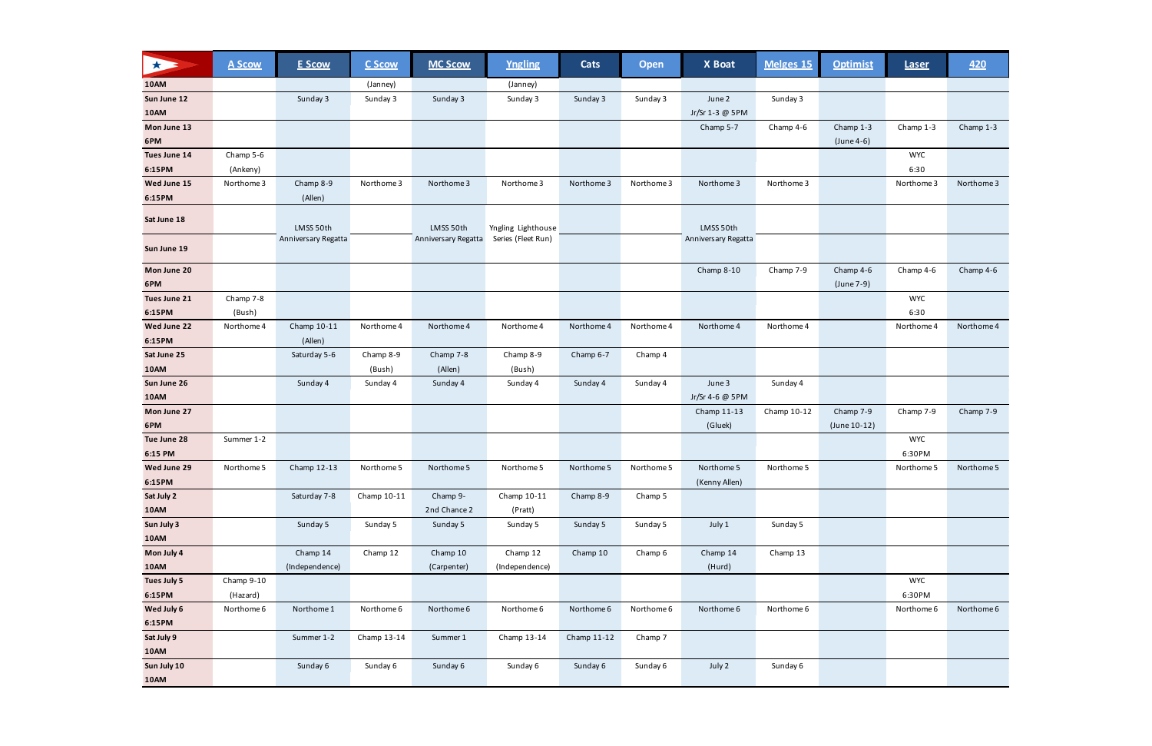| 大            | <b>A Scow</b> | <b>E Scow</b>       | <b>C Scow</b> | <b>MC Scow</b>      | Yngling            | Cats        | <b>Open</b> | X Boat              | Melges 15   | <b>Optimist</b> | <b>Laser</b> | <u>420</u> |
|--------------|---------------|---------------------|---------------|---------------------|--------------------|-------------|-------------|---------------------|-------------|-----------------|--------------|------------|
| <b>10AM</b>  |               |                     | (Janney)      |                     | (Janney)           |             |             |                     |             |                 |              |            |
| Sun June 12  |               | Sunday 3            | Sunday 3      | Sunday 3            | Sunday 3           | Sunday 3    | Sunday 3    | June 2              | Sunday 3    |                 |              |            |
| 10AM         |               |                     |               |                     |                    |             |             | Jr/Sr 1-3 @ 5PM     |             |                 |              |            |
| Mon June 13  |               |                     |               |                     |                    |             |             | Champ 5-7           | Champ 4-6   | Champ 1-3       | Champ 1-3    | Champ 1-3  |
| 6PM          |               |                     |               |                     |                    |             |             |                     |             | (June 4-6)      |              |            |
| Tues June 14 | Champ 5-6     |                     |               |                     |                    |             |             |                     |             |                 | <b>WYC</b>   |            |
| 6:15PM       | (Ankeny)      |                     |               |                     |                    |             |             |                     |             |                 | 6:30         |            |
| Wed June 15  | Northome 3    | Champ 8-9           | Northome 3    | Northome 3          | Northome 3         | Northome 3  | Northome 3  | Northome 3          | Northome 3  |                 | Northome 3   | Northome 3 |
| 6:15PM       |               | (Allen)             |               |                     |                    |             |             |                     |             |                 |              |            |
| Sat June 18  |               | LMSS 50th           |               | LMSS 50th           | Yngling Lighthouse |             |             | LMSS 50th           |             |                 |              |            |
| Sun June 19  |               | Anniversary Regatta |               | Anniversary Regatta | Series (Fleet Run) |             |             | Anniversary Regatta |             |                 |              |            |
| Mon June 20  |               |                     |               |                     |                    |             |             | Champ 8-10          | Champ 7-9   | Champ 4-6       | Champ 4-6    | Champ 4-6  |
| 6PM          |               |                     |               |                     |                    |             |             |                     |             | (June 7-9)      |              |            |
| Tues June 21 | Champ 7-8     |                     |               |                     |                    |             |             |                     |             |                 | <b>WYC</b>   |            |
| 6:15PM       | (Bush)        |                     |               |                     |                    |             |             |                     |             |                 | 6:30         |            |
| Wed June 22  | Northome 4    | Champ 10-11         | Northome 4    | Northome 4          | Northome 4         | Northome 4  | Northome 4  | Northome 4          | Northome 4  |                 | Northome 4   | Northome 4 |
| 6:15PM       |               | (Allen)             |               |                     |                    |             |             |                     |             |                 |              |            |
| Sat June 25  |               | Saturday 5-6        | Champ 8-9     | Champ 7-8           | Champ 8-9          | Champ 6-7   | Champ 4     |                     |             |                 |              |            |
| 10AM         |               |                     | (Bush)        | (Allen)             | (Bush)             |             |             |                     |             |                 |              |            |
| Sun June 26  |               | Sunday 4            | Sunday 4      | Sunday 4            | Sunday 4           | Sunday 4    | Sunday 4    | June 3              | Sunday 4    |                 |              |            |
| 10AM         |               |                     |               |                     |                    |             |             | Jr/Sr 4-6 @ 5PM     |             |                 |              |            |
| Mon June 27  |               |                     |               |                     |                    |             |             | Champ 11-13         | Champ 10-12 | Champ 7-9       | Champ 7-9    | Champ 7-9  |
| 6PM          |               |                     |               |                     |                    |             |             | (Gluek)             |             | (June 10-12)    |              |            |
| Tue June 28  | Summer 1-2    |                     |               |                     |                    |             |             |                     |             |                 | <b>WYC</b>   |            |
| 6:15 PM      |               |                     |               |                     |                    |             |             |                     |             |                 | 6:30PM       |            |
| Wed June 29  | Northome 5    | Champ 12-13         | Northome 5    | Northome 5          | Northome 5         | Northome 5  | Northome 5  | Northome 5          | Northome 5  |                 | Northome 5   | Northome 5 |
| 6:15PM       |               |                     |               |                     |                    |             |             | (Kenny Allen)       |             |                 |              |            |
| Sat July 2   |               | Saturday 7-8        | Champ 10-11   | Champ 9-            | Champ 10-11        | Champ 8-9   | Champ 5     |                     |             |                 |              |            |
| <b>10AM</b>  |               |                     |               | 2nd Chance 2        | (Pratt)            |             |             |                     |             |                 |              |            |
| Sun July 3   |               | Sunday 5            | Sunday 5      | Sunday 5            | Sunday 5           | Sunday 5    | Sunday 5    | July 1              | Sunday 5    |                 |              |            |
| <b>10AM</b>  |               |                     |               |                     |                    |             |             |                     |             |                 |              |            |
| Mon July 4   |               | Champ 14            | Champ 12      | Champ 10            | Champ 12           | Champ 10    | Champ 6     | Champ 14            | Champ 13    |                 |              |            |
| <b>10AM</b>  |               | (Independence)      |               | (Carpenter)         | (Independence)     |             |             | (Hurd)              |             |                 |              |            |
| Tues July 5  | Champ 9-10    |                     |               |                     |                    |             |             |                     |             |                 | <b>WYC</b>   |            |
| 6:15PM       | (Hazard)      |                     |               |                     |                    |             |             |                     |             |                 | 6:30PM       |            |
| Wed July 6   | Northome 6    | Northome 1          | Northome 6    | Northome 6          | Northome 6         | Northome 6  | Northome 6  | Northome 6          | Northome 6  |                 | Northome 6   | Northome 6 |
| 6:15PM       |               |                     |               |                     |                    |             |             |                     |             |                 |              |            |
| Sat July 9   |               | Summer 1-2          | Champ 13-14   | Summer 1            | Champ 13-14        | Champ 11-12 | Champ 7     |                     |             |                 |              |            |
| <b>10AM</b>  |               |                     |               |                     |                    |             |             |                     |             |                 |              |            |
| Sun July 10  |               | Sunday 6            | Sunday 6      | Sunday 6            | Sunday 6           | Sunday 6    | Sunday 6    | July 2              | Sunday 6    |                 |              |            |
| <b>10AM</b>  |               |                     |               |                     |                    |             |             |                     |             |                 |              |            |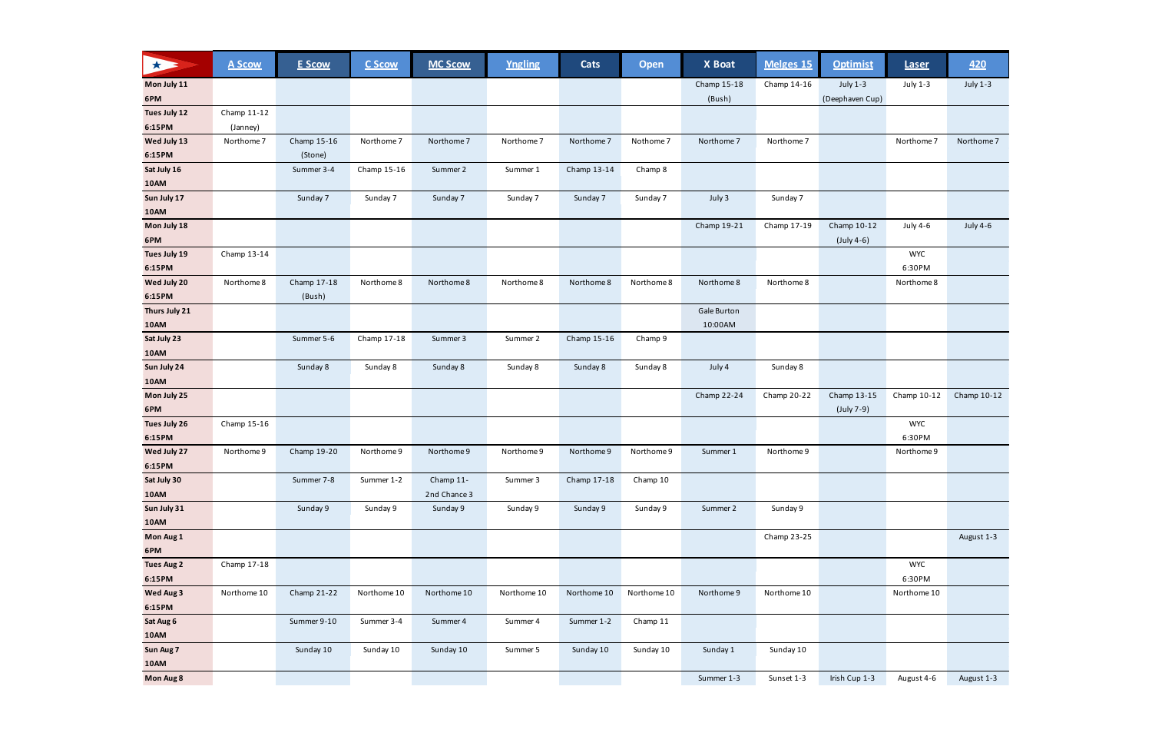| July 1-3<br>Mon July 11<br>Champ 15-18<br>Champ 14-16<br>July 1-3<br><b>July 1-3</b><br>6PM<br>(Bush)<br>(Deephaven Cup)<br>Tues July 12<br>Champ 11-12<br>6:15PM<br>(Janney)<br>Wed July 13<br>Champ 15-16<br>Northome 7<br>Northome 7<br>Northome 7<br>Northome 7<br>Northome 7<br>Northome 7<br>Northome 7<br>Nothome 7<br>Northome 7<br>6:15PM<br>(Stone)<br>Sat July 16<br>Summer 3-4<br>Champ 15-16<br>Summer 2<br>Champ 13-14<br>Champ 8<br>Summer 1<br>10AM<br>Sun July 17<br>Sunday 7<br>Sunday 7<br>Sunday 7<br>Sunday 7<br>July 3<br>Sunday 7<br>Sunday 7<br>Sunday 7<br><b>10AM</b><br>Mon July 18<br>Champ 19-21<br>Champ 10-12<br><b>July 4-6</b><br>Champ 17-19<br>July 4-6<br>6PM<br>$(July 4-6)$<br>Tues July 19<br>Champ 13-14<br><b>WYC</b><br>6:30PM<br>6:15PM<br>Champ 17-18<br>Wed July 20<br>Northome 8<br>Northome 8<br>Northome 8<br>Northome 8<br>Northome 8<br>Northome 8<br>Northome 8<br>Northome 8<br>Northome 8<br>6:15PM<br>(Bush)<br>Gale Burton<br>Thurs July 21<br>10:00AM<br>10AM<br>Sat July 23<br>Summer 5-6<br>Champ 17-18<br>Summer 3<br>Summer 2<br>Champ 15-16<br>Champ 9<br>10AM<br>Sun July 24<br>Sunday 8<br>Sunday 8<br>Sunday 8<br>Sunday 8<br>July 4<br>Sunday 8<br>Sunday 8<br>Sunday 8<br>10AM<br>Mon July 25<br>Champ 13-15<br>Champ 22-24<br>Champ 20-22<br>Champ 10-12<br>6PM<br>(July 7-9)<br>Tues July 26<br><b>WYC</b><br>Champ 15-16<br>6:30PM<br>6:15PM<br>Wed July 27<br>Champ 19-20<br>Northome 9<br>Northome 9<br>Northome 9<br>Northome 9<br>Northome 9<br>Northome 9<br>Summer 1<br>Northome 9<br>Northome 9<br>6:15PM<br>Sat July 30<br>Summer 7-8<br>Summer 1-2<br>Champ 11-<br>Summer 3<br>Champ 17-18<br>Champ 10<br><b>10AM</b><br>2nd Chance 3<br>Sun July 31<br>Sunday 9<br>Sunday 9<br>Summer 2<br>Sunday 9<br>Sunday 9<br>Sunday 9<br>Sunday 9<br>Sunday 9<br><b>10AM</b> | * | <b>A Scow</b> | <b>E Scow</b> | C Scow | <b>MC Scow</b> | Yngling | Cats | <b>Open</b> | X Boat | Melges <sub>15</sub> | <b>Optimist</b> | <b>Laser</b> | 420         |
|---------------------------------------------------------------------------------------------------------------------------------------------------------------------------------------------------------------------------------------------------------------------------------------------------------------------------------------------------------------------------------------------------------------------------------------------------------------------------------------------------------------------------------------------------------------------------------------------------------------------------------------------------------------------------------------------------------------------------------------------------------------------------------------------------------------------------------------------------------------------------------------------------------------------------------------------------------------------------------------------------------------------------------------------------------------------------------------------------------------------------------------------------------------------------------------------------------------------------------------------------------------------------------------------------------------------------------------------------------------------------------------------------------------------------------------------------------------------------------------------------------------------------------------------------------------------------------------------------------------------------------------------------------------------------------------------------------------------------------------------------------------------------------------------------------------------------------------------------|---|---------------|---------------|--------|----------------|---------|------|-------------|--------|----------------------|-----------------|--------------|-------------|
|                                                                                                                                                                                                                                                                                                                                                                                                                                                                                                                                                                                                                                                                                                                                                                                                                                                                                                                                                                                                                                                                                                                                                                                                                                                                                                                                                                                                                                                                                                                                                                                                                                                                                                                                                                                                                                                   |   |               |               |        |                |         |      |             |        |                      |                 |              |             |
|                                                                                                                                                                                                                                                                                                                                                                                                                                                                                                                                                                                                                                                                                                                                                                                                                                                                                                                                                                                                                                                                                                                                                                                                                                                                                                                                                                                                                                                                                                                                                                                                                                                                                                                                                                                                                                                   |   |               |               |        |                |         |      |             |        |                      |                 |              |             |
|                                                                                                                                                                                                                                                                                                                                                                                                                                                                                                                                                                                                                                                                                                                                                                                                                                                                                                                                                                                                                                                                                                                                                                                                                                                                                                                                                                                                                                                                                                                                                                                                                                                                                                                                                                                                                                                   |   |               |               |        |                |         |      |             |        |                      |                 |              |             |
|                                                                                                                                                                                                                                                                                                                                                                                                                                                                                                                                                                                                                                                                                                                                                                                                                                                                                                                                                                                                                                                                                                                                                                                                                                                                                                                                                                                                                                                                                                                                                                                                                                                                                                                                                                                                                                                   |   |               |               |        |                |         |      |             |        |                      |                 |              |             |
|                                                                                                                                                                                                                                                                                                                                                                                                                                                                                                                                                                                                                                                                                                                                                                                                                                                                                                                                                                                                                                                                                                                                                                                                                                                                                                                                                                                                                                                                                                                                                                                                                                                                                                                                                                                                                                                   |   |               |               |        |                |         |      |             |        |                      |                 |              | Northome 7  |
|                                                                                                                                                                                                                                                                                                                                                                                                                                                                                                                                                                                                                                                                                                                                                                                                                                                                                                                                                                                                                                                                                                                                                                                                                                                                                                                                                                                                                                                                                                                                                                                                                                                                                                                                                                                                                                                   |   |               |               |        |                |         |      |             |        |                      |                 |              |             |
|                                                                                                                                                                                                                                                                                                                                                                                                                                                                                                                                                                                                                                                                                                                                                                                                                                                                                                                                                                                                                                                                                                                                                                                                                                                                                                                                                                                                                                                                                                                                                                                                                                                                                                                                                                                                                                                   |   |               |               |        |                |         |      |             |        |                      |                 |              |             |
|                                                                                                                                                                                                                                                                                                                                                                                                                                                                                                                                                                                                                                                                                                                                                                                                                                                                                                                                                                                                                                                                                                                                                                                                                                                                                                                                                                                                                                                                                                                                                                                                                                                                                                                                                                                                                                                   |   |               |               |        |                |         |      |             |        |                      |                 |              |             |
|                                                                                                                                                                                                                                                                                                                                                                                                                                                                                                                                                                                                                                                                                                                                                                                                                                                                                                                                                                                                                                                                                                                                                                                                                                                                                                                                                                                                                                                                                                                                                                                                                                                                                                                                                                                                                                                   |   |               |               |        |                |         |      |             |        |                      |                 |              |             |
|                                                                                                                                                                                                                                                                                                                                                                                                                                                                                                                                                                                                                                                                                                                                                                                                                                                                                                                                                                                                                                                                                                                                                                                                                                                                                                                                                                                                                                                                                                                                                                                                                                                                                                                                                                                                                                                   |   |               |               |        |                |         |      |             |        |                      |                 |              |             |
|                                                                                                                                                                                                                                                                                                                                                                                                                                                                                                                                                                                                                                                                                                                                                                                                                                                                                                                                                                                                                                                                                                                                                                                                                                                                                                                                                                                                                                                                                                                                                                                                                                                                                                                                                                                                                                                   |   |               |               |        |                |         |      |             |        |                      |                 |              |             |
|                                                                                                                                                                                                                                                                                                                                                                                                                                                                                                                                                                                                                                                                                                                                                                                                                                                                                                                                                                                                                                                                                                                                                                                                                                                                                                                                                                                                                                                                                                                                                                                                                                                                                                                                                                                                                                                   |   |               |               |        |                |         |      |             |        |                      |                 |              |             |
|                                                                                                                                                                                                                                                                                                                                                                                                                                                                                                                                                                                                                                                                                                                                                                                                                                                                                                                                                                                                                                                                                                                                                                                                                                                                                                                                                                                                                                                                                                                                                                                                                                                                                                                                                                                                                                                   |   |               |               |        |                |         |      |             |        |                      |                 |              |             |
|                                                                                                                                                                                                                                                                                                                                                                                                                                                                                                                                                                                                                                                                                                                                                                                                                                                                                                                                                                                                                                                                                                                                                                                                                                                                                                                                                                                                                                                                                                                                                                                                                                                                                                                                                                                                                                                   |   |               |               |        |                |         |      |             |        |                      |                 |              |             |
|                                                                                                                                                                                                                                                                                                                                                                                                                                                                                                                                                                                                                                                                                                                                                                                                                                                                                                                                                                                                                                                                                                                                                                                                                                                                                                                                                                                                                                                                                                                                                                                                                                                                                                                                                                                                                                                   |   |               |               |        |                |         |      |             |        |                      |                 |              |             |
|                                                                                                                                                                                                                                                                                                                                                                                                                                                                                                                                                                                                                                                                                                                                                                                                                                                                                                                                                                                                                                                                                                                                                                                                                                                                                                                                                                                                                                                                                                                                                                                                                                                                                                                                                                                                                                                   |   |               |               |        |                |         |      |             |        |                      |                 |              |             |
|                                                                                                                                                                                                                                                                                                                                                                                                                                                                                                                                                                                                                                                                                                                                                                                                                                                                                                                                                                                                                                                                                                                                                                                                                                                                                                                                                                                                                                                                                                                                                                                                                                                                                                                                                                                                                                                   |   |               |               |        |                |         |      |             |        |                      |                 |              |             |
|                                                                                                                                                                                                                                                                                                                                                                                                                                                                                                                                                                                                                                                                                                                                                                                                                                                                                                                                                                                                                                                                                                                                                                                                                                                                                                                                                                                                                                                                                                                                                                                                                                                                                                                                                                                                                                                   |   |               |               |        |                |         |      |             |        |                      |                 |              |             |
|                                                                                                                                                                                                                                                                                                                                                                                                                                                                                                                                                                                                                                                                                                                                                                                                                                                                                                                                                                                                                                                                                                                                                                                                                                                                                                                                                                                                                                                                                                                                                                                                                                                                                                                                                                                                                                                   |   |               |               |        |                |         |      |             |        |                      |                 |              |             |
|                                                                                                                                                                                                                                                                                                                                                                                                                                                                                                                                                                                                                                                                                                                                                                                                                                                                                                                                                                                                                                                                                                                                                                                                                                                                                                                                                                                                                                                                                                                                                                                                                                                                                                                                                                                                                                                   |   |               |               |        |                |         |      |             |        |                      |                 |              |             |
|                                                                                                                                                                                                                                                                                                                                                                                                                                                                                                                                                                                                                                                                                                                                                                                                                                                                                                                                                                                                                                                                                                                                                                                                                                                                                                                                                                                                                                                                                                                                                                                                                                                                                                                                                                                                                                                   |   |               |               |        |                |         |      |             |        |                      |                 |              |             |
|                                                                                                                                                                                                                                                                                                                                                                                                                                                                                                                                                                                                                                                                                                                                                                                                                                                                                                                                                                                                                                                                                                                                                                                                                                                                                                                                                                                                                                                                                                                                                                                                                                                                                                                                                                                                                                                   |   |               |               |        |                |         |      |             |        |                      |                 |              | Champ 10-12 |
|                                                                                                                                                                                                                                                                                                                                                                                                                                                                                                                                                                                                                                                                                                                                                                                                                                                                                                                                                                                                                                                                                                                                                                                                                                                                                                                                                                                                                                                                                                                                                                                                                                                                                                                                                                                                                                                   |   |               |               |        |                |         |      |             |        |                      |                 |              |             |
|                                                                                                                                                                                                                                                                                                                                                                                                                                                                                                                                                                                                                                                                                                                                                                                                                                                                                                                                                                                                                                                                                                                                                                                                                                                                                                                                                                                                                                                                                                                                                                                                                                                                                                                                                                                                                                                   |   |               |               |        |                |         |      |             |        |                      |                 |              |             |
|                                                                                                                                                                                                                                                                                                                                                                                                                                                                                                                                                                                                                                                                                                                                                                                                                                                                                                                                                                                                                                                                                                                                                                                                                                                                                                                                                                                                                                                                                                                                                                                                                                                                                                                                                                                                                                                   |   |               |               |        |                |         |      |             |        |                      |                 |              |             |
|                                                                                                                                                                                                                                                                                                                                                                                                                                                                                                                                                                                                                                                                                                                                                                                                                                                                                                                                                                                                                                                                                                                                                                                                                                                                                                                                                                                                                                                                                                                                                                                                                                                                                                                                                                                                                                                   |   |               |               |        |                |         |      |             |        |                      |                 |              |             |
|                                                                                                                                                                                                                                                                                                                                                                                                                                                                                                                                                                                                                                                                                                                                                                                                                                                                                                                                                                                                                                                                                                                                                                                                                                                                                                                                                                                                                                                                                                                                                                                                                                                                                                                                                                                                                                                   |   |               |               |        |                |         |      |             |        |                      |                 |              |             |
|                                                                                                                                                                                                                                                                                                                                                                                                                                                                                                                                                                                                                                                                                                                                                                                                                                                                                                                                                                                                                                                                                                                                                                                                                                                                                                                                                                                                                                                                                                                                                                                                                                                                                                                                                                                                                                                   |   |               |               |        |                |         |      |             |        |                      |                 |              |             |
|                                                                                                                                                                                                                                                                                                                                                                                                                                                                                                                                                                                                                                                                                                                                                                                                                                                                                                                                                                                                                                                                                                                                                                                                                                                                                                                                                                                                                                                                                                                                                                                                                                                                                                                                                                                                                                                   |   |               |               |        |                |         |      |             |        |                      |                 |              |             |
|                                                                                                                                                                                                                                                                                                                                                                                                                                                                                                                                                                                                                                                                                                                                                                                                                                                                                                                                                                                                                                                                                                                                                                                                                                                                                                                                                                                                                                                                                                                                                                                                                                                                                                                                                                                                                                                   |   |               |               |        |                |         |      |             |        |                      |                 |              |             |
|                                                                                                                                                                                                                                                                                                                                                                                                                                                                                                                                                                                                                                                                                                                                                                                                                                                                                                                                                                                                                                                                                                                                                                                                                                                                                                                                                                                                                                                                                                                                                                                                                                                                                                                                                                                                                                                   |   |               |               |        |                |         |      |             |        |                      |                 |              |             |
| Mon Aug 1<br>Champ 23-25<br>August 1-3                                                                                                                                                                                                                                                                                                                                                                                                                                                                                                                                                                                                                                                                                                                                                                                                                                                                                                                                                                                                                                                                                                                                                                                                                                                                                                                                                                                                                                                                                                                                                                                                                                                                                                                                                                                                            |   |               |               |        |                |         |      |             |        |                      |                 |              |             |
| 6PM                                                                                                                                                                                                                                                                                                                                                                                                                                                                                                                                                                                                                                                                                                                                                                                                                                                                                                                                                                                                                                                                                                                                                                                                                                                                                                                                                                                                                                                                                                                                                                                                                                                                                                                                                                                                                                               |   |               |               |        |                |         |      |             |        |                      |                 |              |             |
| <b>Tues Aug 2</b><br><b>WYC</b><br>Champ 17-18<br>6:30PM                                                                                                                                                                                                                                                                                                                                                                                                                                                                                                                                                                                                                                                                                                                                                                                                                                                                                                                                                                                                                                                                                                                                                                                                                                                                                                                                                                                                                                                                                                                                                                                                                                                                                                                                                                                          |   |               |               |        |                |         |      |             |        |                      |                 |              |             |
| 6:15PM<br>Champ 21-22<br>Northome 10<br>Northome 10<br>Northome 9<br>Northome 10<br>Northome 10<br>Northome 10<br>Northome 10                                                                                                                                                                                                                                                                                                                                                                                                                                                                                                                                                                                                                                                                                                                                                                                                                                                                                                                                                                                                                                                                                                                                                                                                                                                                                                                                                                                                                                                                                                                                                                                                                                                                                                                     |   |               |               |        |                |         |      |             |        |                      |                 |              |             |
| Wed Aug 3<br>Northome 10<br>Northome 10<br>6:15PM                                                                                                                                                                                                                                                                                                                                                                                                                                                                                                                                                                                                                                                                                                                                                                                                                                                                                                                                                                                                                                                                                                                                                                                                                                                                                                                                                                                                                                                                                                                                                                                                                                                                                                                                                                                                 |   |               |               |        |                |         |      |             |        |                      |                 |              |             |
| Sat Aug 6<br>Summer 9-10<br>Summer 3-4<br>Summer 4<br>Summer 1-2<br>Champ 11<br>Summer 4                                                                                                                                                                                                                                                                                                                                                                                                                                                                                                                                                                                                                                                                                                                                                                                                                                                                                                                                                                                                                                                                                                                                                                                                                                                                                                                                                                                                                                                                                                                                                                                                                                                                                                                                                          |   |               |               |        |                |         |      |             |        |                      |                 |              |             |
| <b>10AM</b>                                                                                                                                                                                                                                                                                                                                                                                                                                                                                                                                                                                                                                                                                                                                                                                                                                                                                                                                                                                                                                                                                                                                                                                                                                                                                                                                                                                                                                                                                                                                                                                                                                                                                                                                                                                                                                       |   |               |               |        |                |         |      |             |        |                      |                 |              |             |
| Sunday 10<br>Sunday 10<br>Sunday 10<br>Sunday 1<br>Sun Aug 7<br>Sunday 10<br>Summer 5<br>Sunday 10<br>Sunday 10                                                                                                                                                                                                                                                                                                                                                                                                                                                                                                                                                                                                                                                                                                                                                                                                                                                                                                                                                                                                                                                                                                                                                                                                                                                                                                                                                                                                                                                                                                                                                                                                                                                                                                                                   |   |               |               |        |                |         |      |             |        |                      |                 |              |             |
| <b>10AM</b>                                                                                                                                                                                                                                                                                                                                                                                                                                                                                                                                                                                                                                                                                                                                                                                                                                                                                                                                                                                                                                                                                                                                                                                                                                                                                                                                                                                                                                                                                                                                                                                                                                                                                                                                                                                                                                       |   |               |               |        |                |         |      |             |        |                      |                 |              |             |
| Mon Aug 8<br>Summer 1-3<br>Sunset 1-3<br>Irish Cup 1-3<br>August 1-3<br>August 4-6                                                                                                                                                                                                                                                                                                                                                                                                                                                                                                                                                                                                                                                                                                                                                                                                                                                                                                                                                                                                                                                                                                                                                                                                                                                                                                                                                                                                                                                                                                                                                                                                                                                                                                                                                                |   |               |               |        |                |         |      |             |        |                      |                 |              |             |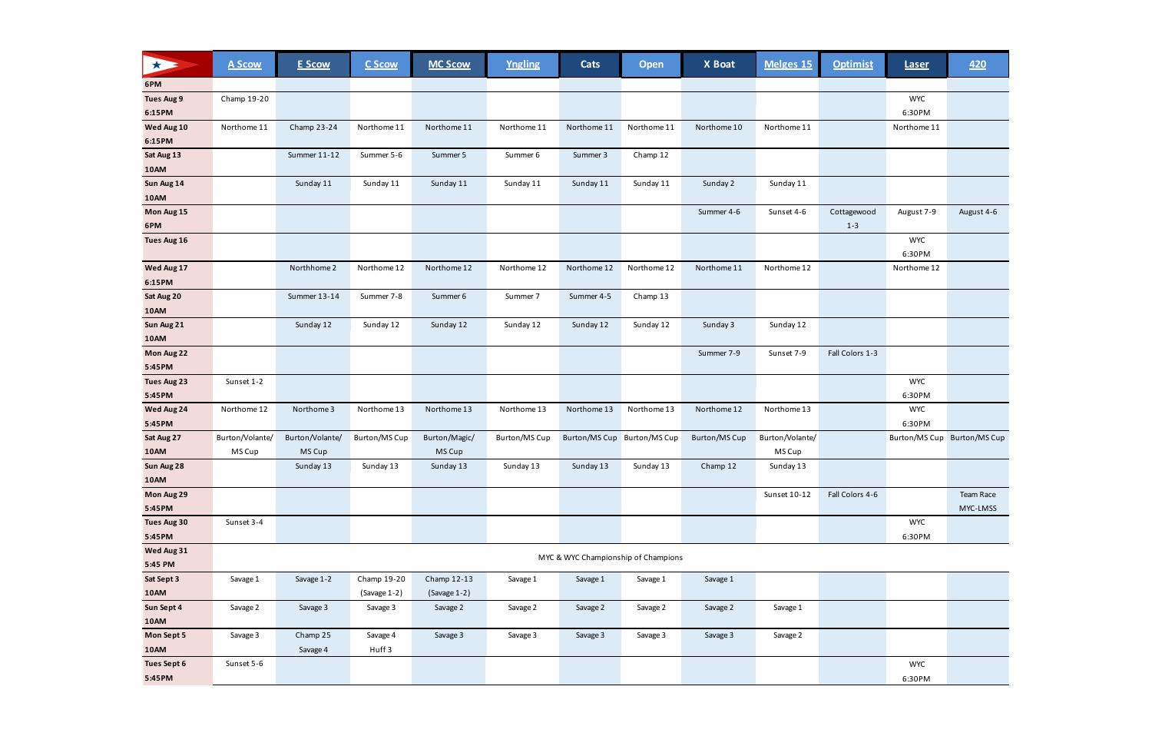| 大                  | A Scow                                            | <b>E Scow</b>   | C Scow               | <b>MC Scow</b> | Yngling       | Cats        | <b>Open</b>                 | X Boat               | Melges 15       | <b>Optimist</b> | <b>Laser</b> | 420                         |
|--------------------|---------------------------------------------------|-----------------|----------------------|----------------|---------------|-------------|-----------------------------|----------------------|-----------------|-----------------|--------------|-----------------------------|
| 6PM                |                                                   |                 |                      |                |               |             |                             |                      |                 |                 |              |                             |
| <b>Tues Aug 9</b>  | Champ 19-20                                       |                 |                      |                |               |             |                             |                      |                 |                 | <b>WYC</b>   |                             |
| 6:15PM             |                                                   |                 |                      |                |               |             |                             |                      |                 |                 | 6:30PM       |                             |
| Wed Aug 10         | Northome 11                                       | Champ 23-24     | Northome 11          | Northome 11    | Northome 11   | Northome 11 | Northome 11                 | Northome 10          | Northome 11     |                 | Northome 11  |                             |
| 6:15PM             |                                                   |                 |                      |                |               |             |                             |                      |                 |                 |              |                             |
| Sat Aug 13         |                                                   | Summer 11-12    | Summer 5-6           | Summer 5       | Summer 6      | Summer 3    | Champ 12                    |                      |                 |                 |              |                             |
| <b>10AM</b>        |                                                   |                 |                      |                |               |             |                             |                      |                 |                 |              |                             |
| Sun Aug 14         |                                                   | Sunday 11       | Sunday 11            | Sunday 11      | Sunday 11     | Sunday 11   | Sunday 11                   | Sunday 2             | Sunday 11       |                 |              |                             |
| <b>10AM</b>        |                                                   |                 |                      |                |               |             |                             |                      |                 |                 |              |                             |
| Mon Aug 15         |                                                   |                 |                      |                |               |             |                             | Summer 4-6           | Sunset 4-6      | Cottagewood     | August 7-9   | August 4-6                  |
| 6PM                |                                                   |                 |                      |                |               |             |                             |                      |                 | $1 - 3$         |              |                             |
| Tues Aug 16        |                                                   |                 |                      |                |               |             |                             |                      |                 |                 | <b>WYC</b>   |                             |
|                    |                                                   |                 |                      |                |               |             |                             |                      |                 |                 | 6:30PM       |                             |
| Wed Aug 17         |                                                   | Northhome 2     | Northome 12          | Northome 12    | Northome 12   | Northome 12 | Northome 12                 | Northome 11          | Northome 12     |                 | Northome 12  |                             |
| 6:15PM             |                                                   |                 |                      |                |               |             |                             |                      |                 |                 |              |                             |
| Sat Aug 20         |                                                   | Summer 13-14    | Summer 7-8           | Summer 6       | Summer 7      | Summer 4-5  | Champ 13                    |                      |                 |                 |              |                             |
| <b>10AM</b>        |                                                   |                 |                      |                |               |             |                             |                      |                 |                 |              |                             |
| Sun Aug 21         |                                                   | Sunday 12       | Sunday 12            | Sunday 12      | Sunday 12     | Sunday 12   | Sunday 12                   | Sunday 3             | Sunday 12       |                 |              |                             |
| <b>10AM</b>        |                                                   |                 |                      |                |               |             |                             |                      |                 |                 |              |                             |
| Mon Aug 22         |                                                   |                 |                      |                |               |             |                             | Summer 7-9           | Sunset 7-9      | Fall Colors 1-3 |              |                             |
| 5:45PM             |                                                   |                 |                      |                |               |             |                             |                      |                 |                 |              |                             |
| <b>Tues Aug 23</b> | Sunset 1-2                                        |                 |                      |                |               |             |                             |                      |                 |                 | <b>WYC</b>   |                             |
| 5:45PM             |                                                   |                 |                      |                |               |             |                             |                      |                 |                 | 6:30PM       |                             |
| Wed Aug 24         | Northome 12                                       | Northome 3      | Northome 13          | Northome 13    | Northome 13   | Northome 13 | Northome 13                 | Northome 12          | Northome 13     |                 | <b>WYC</b>   |                             |
| 5:45PM             |                                                   |                 |                      |                |               |             |                             |                      |                 |                 | 6:30PM       |                             |
| Sat Aug 27         | Burton/Volante/                                   | Burton/Volante/ | <b>Burton/MS Cup</b> | Burton/Magic/  | Burton/MS Cup |             | Burton/MS Cup Burton/MS Cup | <b>Burton/MS Cup</b> | Burton/Volante/ |                 |              | Burton/MS Cup Burton/MS Cup |
| 10AM               | MS Cup                                            | MS Cup          |                      | MS Cup         |               |             |                             |                      | MS Cup          |                 |              |                             |
| Sun Aug 28         |                                                   | Sunday 13       | Sunday 13            | Sunday 13      | Sunday 13     | Sunday 13   | Sunday 13                   | Champ 12             | Sunday 13       |                 |              |                             |
| 10AM               |                                                   |                 |                      |                |               |             |                             |                      |                 |                 |              |                             |
| Mon Aug 29         |                                                   |                 |                      |                |               |             |                             |                      | Sunset 10-12    | Fall Colors 4-6 |              | Team Race                   |
| 5:45PM             |                                                   |                 |                      |                |               |             |                             |                      |                 |                 |              | MYC-LMSS                    |
| Tues Aug 30        | Sunset 3-4                                        |                 |                      |                |               |             |                             |                      |                 |                 | <b>WYC</b>   |                             |
| 5:45PM             |                                                   |                 |                      |                |               |             |                             |                      |                 |                 | 6:30PM       |                             |
|                    | Wed Aug 31<br>MYC & WYC Championship of Champions |                 |                      |                |               |             |                             |                      |                 |                 |              |                             |
| 5:45 PM            |                                                   |                 |                      |                |               |             |                             |                      |                 |                 |              |                             |
| Sat Sept 3         | Savage 1                                          | Savage 1-2      | Champ 19-20          | Champ 12-13    | Savage 1      | Savage 1    | Savage 1                    | Savage 1             |                 |                 |              |                             |
| <b>10AM</b>        |                                                   |                 | (Savage 1-2)         | (Savage 1-2)   |               |             |                             |                      |                 |                 |              |                             |
| Sun Sept 4         | Savage 2                                          | Savage 3        | Savage 3             | Savage 2       | Savage 2      | Savage 2    | Savage 2                    | Savage 2             | Savage 1        |                 |              |                             |
| <b>10AM</b>        |                                                   |                 |                      |                |               |             |                             |                      |                 |                 |              |                             |
| Mon Sept 5         | Savage 3                                          | Champ 25        | Savage 4             | Savage 3       | Savage 3      | Savage 3    | Savage 3                    | Savage 3             | Savage 2        |                 |              |                             |
| <b>10AM</b>        |                                                   | Savage 4        | Huff <sub>3</sub>    |                |               |             |                             |                      |                 |                 |              |                             |
| <b>Tues Sept 6</b> | Sunset 5-6                                        |                 |                      |                |               |             |                             |                      |                 |                 | <b>WYC</b>   |                             |
| 5:45PM             |                                                   |                 |                      |                |               |             |                             |                      |                 |                 | 6:30PM       |                             |